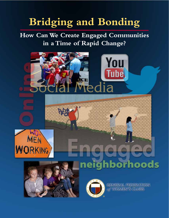# **Bridging and Bonding**

**How Can We Create Engaged Communities in a Time of Rapid Change?**









**GENERAL FEDERATION** of WOMEN'S CLUBS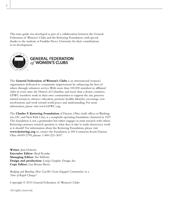This issue guide was developed as part of a collaboration between the General Federation of Women's Clubs and the Kettering Foundation, with special thanks to the students at Franklin Pierce University for their contributions to its development.



#### **GENERAL FEDERATION** of WOMEN'S CLUBS

The **General Federation of Women's Clubs** is an international women's organization dedicated to community improvement by enhancing the lives of others through volunteer service. With more than 100,000 members in affiliated clubs in every state, the District of Columbia, and more than a dozen countries, GFWC members work in their own communities to support the arts, preserve natural resources, advance education, promote healthy lifestyles, encourage civic involvement, and work toward world peace and understanding. For more information, please visit www.GFWC.org.

The **Charles F. Kettering Foundation** of Dayton, Ohio (with offices in Washington, DC, and New York City), is a nonprofit operating foundation chartered in 1927. The foundation is not a grantmaker but rather engages in joint research with others. Kettering's primary research question is, what does it take to make democracy work as it should? For information about the Kettering Foundation, please visit **www.kettering.org** or contact the foundation at 200 Commons Road, Dayton, Ohio 45459-2799; phone: 1-800-221-3657.

**Writer:** Joni Doherty **Executive Editor:** Brad Rourke **Managing Editor:** Ilse Tebbetts **Design and production:** Long's Graphic Design, Inc. **Copy Editor:** Lisa Boone-Berry

*Bridging and Bonding: How Can We Create Engaged Communities in a Time of Rapid Change?*

Copyright © 2013 General Federation of Women's Clubs

All rights reserved.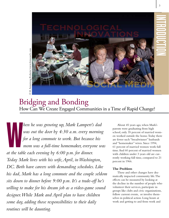

### Bridging and Bonding How Can We Create Engaged Communities in a Time of Rapid Change?

hen he was growing up, Mark Lampert's dad<br>was out the door by 4:30 a.m. every morning<br>for a long commute to work. But because his<br>mom was a full-time homemaker, everyone we *was out the door by 4:30 a.m. every morning for a long commute to work. But because his mom was a full-time homemaker, everyone was at the table each evening by 6:00 p.m. for dinner. Today Mark lives with his wife, April, in Washington, DC. Both have careers with demanding schedules. Like his dad, Mark has a long commute and the couple seldom sits down to dinner before 9:00 p.m. It's a trade-off he's willing to make for his dream job as a video-game sound designer. While Mark and April plan to have children some day, adding those responsibilities to their daily routines will be daunting.* 

 About 45 years ago, when Mark's parents were graduating from high school, only 35 percent of married women worked outside the home. Today there are fewer such "breadwinner" husbands and "homemaker" wives. Since 1994, 61 percent of married women work full time. And 60 percent of married women with children under 3 years old are currently working full time, compared to 21 percent in 1966.

#### **The Problem**

These and other changes have dramatically impacted community life. The effects can be measured by looking at the decline in the number of people who volunteer their services, participate in groups like clubs and civic organizations, follow current events, or involve themselves in political action. Long hours at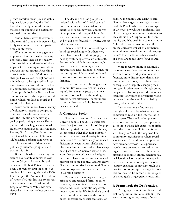private entertainment (such as watching television or surfing the Net) have dramatically reduced the time available for building and sustaining engaged communities.

Studies have shown that women who work full time are 16 percent less likely to volunteer than their parttime counterparts.

 Why is community engagement important? Our personal well-being depends a great deal on the quality of our social networks—the relationships that exist among individuals and between various groups. According to sociologist Robert Wuthnow, these changes have caused "neighborhoodmindedness" to be replaced by looser, more transient relationships. This loss of community connection has physical and psychological effects: we lose our connection with the place we call home, which can lead to social and emotional isolation.

 Many communities have a history of voluntary associations comprised of individuals who come together with the intention of achieving a goal or performing a service. Examples include bowling leagues, social clubs, civic organizations like the Elks, Rotary, Girl Scouts, Boy Scouts, and the General Federation of Women's Clubs. Many perform civic work as part of their mission. Advocacy and politically oriented groups are also part of this mix.

But membership in civic organizations has steadily diminished over the past 50 years. As noted by political scientist Robert Putnam, there has been a 58 percent drop in people attending club meetings since the 1960s. For example, the National Federation of Women's Clubs has lost 59 percent of its members since 1964 and the League of Women Voters has experienced a 42 percent reduction since 1969.

The decline of these groups is associated with a loss of "social capital." Putnam defines social capital as the interplay of social networks and norms of reciprocity and trust, which results in a wide array of economic, educational, and health benefits, and less crime, among other advantages.

 There are two kinds of social capital: bonding (socializing with others very much like yourself) and bridging (connecting with people who are different). For example, while in our increasingly diverse society communitywide civic organizations have declined, personal support groups or clubs focused on shared recreational or professional interest are thriving.

In the past the most homogeneous communities were also richest in social capital. Putnam anticipates that as we become more skilled with building bridges across differences, communities richer in diversity will also become rich in social capital.

#### **A Changing Society**

Now more than ever, Americans are a diverse people. The 2010 census data show that just over one-third of the population reported their race and ethnicity as something other than non-Hispanic white. In this country diversity is often understood as the historically influenced divisions between whites, blacks, and Hispanics. Immigration, which has always been part of the American experience, is another source of diversity. Religious differences have also become a source of mistrust for some people. Research shows diverse communities have more difficulty than homogeneous ones when it comes to working together.

 Mass media, including increasingly privatized and targeted forms of entertainment, such as direct access television, video, and social media also negatively impact community life. Individuals spend more time alone in front of the computer. Increasingly specialized forms of

delivery, including cable channels and direct video, target increasingly narrow markets. People who watch an average of 23 hours a week are significantly less likely to engage in volunteer activities. As the authors of a Corporation for Community and National Service report note, "This adds another nail to the coffin on the corrosive impact of commercial entertainment television on civic engagement." The result? Whether virtually or physically, people have fewer shared experiences.

 More recently, online social media has transformed how we communicate with each other. And generational differences, more distinct now than at any time since the 1960s, are in large part a consequence of rapidly changing technologies. It often seems as though young people are inhabiting a world that is different not only from their parents' world but even from the world occupied by those just a decade older.

Our perceptions of others are strongly influenced by what we see on television or read on the Internet or in newspapers. The media often present sensationalized or stereotypical portrayals of those whose life experiences differ from the mainstream. This may foster a tendency to "circle the wagons." For community organizations where social activities and friendships are important, new members whose life experiences match those currently involved in the organization are recruited. Those with differing economic, ethnic, generational, racial, regional, or religious life experiences may be intentionally or unconsciously excluded. It may also result in a proliferation of groups and organizations that are isolated from each other in spite of shared goals or geographic proximity.

#### **A Framework for Deliberation**

Changing economic conditions and technological innovations, including the ever-increasing pervasiveness of mass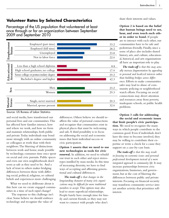#### **Volunteer Rates by Selected Characteristics**

Percentage of the US population that volunteered at least once through or for an organization between September 2009 and September 2010



and social media, have transformed our personal lives and our communities. This has affected how families interact, how and where we work, and how we form and maintain relationships, both public and private. Today individuals may bond more strongly with an online community or colleagues at work than with their neighbors. The blurring of distinctions between work and home, made possible by technology, consumes time once spent on social and civic pursuits. Public spaces and even our own neighborhoods don't seem as safe as they used to be. And a lack of trust in others makes bridging differences between those with differing social, political, religious, or cultural beliefs and experiences more challenging.

 What we need to deliberate about is this: how can we create engaged communities in a time of such rapid change?

The response to this challenge isn't clear. Some believe we should embrace technology and recognize the value of

differences. Others believe we should reaffirm the value of personal connections and recognize that communities exist in physical places that must be welcoming and safe. A third possibility is to focus on addressing the social and economic issues that limit individual success or civic participation.

**Option 1 asserts that we need to use new technologies as tools for civic renewal.** In addition, we need to rebuild our trust in each other and reject stereotypes instilled by mass media. In this time of increasing diversity, we have to find ways of accepting and affirming generational and cultural differences.

 *The trade-off is that changes in the longstanding character of many civic organizations may be difficult for more traditional members to accept.* This option may also lead to more superficial relationships. People barely have enough time for family and current friends, so they may not want to connect with people who don't

share their interests and values.

**Option 2 is based on the belief that human beings need to see, hear, and even touch each other in order to bond.** If people are to interact with each other, our communities have to be safe and pedestrian-friendly. Finally, since a sense of place also includes shared history, arts, and culture, educational, historical, and arts organizations all have an important role to play.

*The trade-off is that this may actually increase fragmentation by appealing to personal and localized interests rather than building bridges across differences.* Efforts to make communities safer may lead to abuse of community policing or neighborhood watch efforts. Focusing on social connections may divert attention and resources away from poverty, inadequate schools, or public health problems.

**Option 3 calls for addressing the social and economic issues that limit people's civic participation.** We need to recognize the many ways in which people contribute to the common good. Even if individuals don't have the time to become involved, they may be willing to contribute their expertise or write a check for a cause they support on a case-by-case basis.

 *The trade-off is that this may result in focusing on economic issues and personal professional development instead of a more integrated approach to community life.* It may increase partnerships between civic organizations, businesses, and government, but at the cost of blurring the differences between public and private interests. Focusing on financial security may transform community service into yet another activity that prioritizes selfinterest.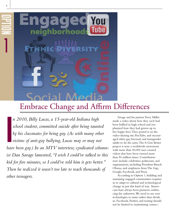

6

OPTION

1

### Embrace Change and Affirm Differences

I<br>I<br>I<br>I *n 2010, Billy Lucas, a 15-year-old Indiana high school student, committed suicide after being taunted by his classmates for being gay. (As with many other victims of anti-gay bullying, Lucas may or may not have been gay.) In an MTV interview, syndicated columnist Dan Savage lamented, "I wish I could've talked to this kid for five minutes, so I could've told him it gets better." Then he realized it wasn't too late to reach thousands of other teenagers.* 

Savage and his partner Terry Miller made a video about how they each had been bullied in high school and emphasized how they had grown up to live happy lives. They posted it on the video-sharing site, YouTube, and encouraged other gay, bisexual, and transgender adults to do the same. The It Gets Better project is now a worldwide movement with more than 50,000 user-created videos that have been viewed more than 50 million times. Contributors now include celebrities, politicians, and organizations, including President Barack Obama, and employees from The Gap, Google, Facebook, and Pixar.

According to Option 1, building and sustaining engaged communities requires us to adapt to cultural and technological change in just this kind of way. Americans have always been pioneers, embracing the unknown. We need to use new technologies to unite rather than divide us. Facebook, Twitter, and texting should not be limited to maintaining connec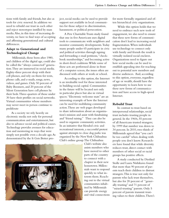tions with family and friends, but also as tools for civic renewal. In addition we need to rebuild our trust in each other and reject stereotypes instilled by mass media. Also, in this time of increasing diversity, we have to find ways of accepting and affirming generational and cultural differences.

#### **Adapt to Generational and Technological Change**

 Millennials, those born after 1980, and children of the digital age, could also be called the "always connected" generation. They are immersed in social media. Eighty-three percent sleep with their cell phones, and rely on them for texts, phone calls, and e-mails, songs, news, videos, and games. Only 50 percent of Baby Boomers, and 20 percent of the Silent Generation have cell phones by their beds. Three-quarters of those under 30 have their profiles on social networks. Virtual communities whose members may never meet in person continue to proliferate

As a society we rely heavily on electronic media not only for personal communication and entertainment, but also to advance social and political causes. Technology provides avenues for education and mentoring in ways that were simply not possible even a decade ago. As demonstrated by the It Gets Better project, social media can be used to provide support not available in local communities for those subject to discrimination, harassment, or political persecution.

 A Pew Charitable Trusts study found that one in five Americans uses digital tools to communicate with neighbors and monitor community developments. Today many people under 65 participate in civic and political activities through signing and forwarding e-mail petitions, "checkbook memberships," and becoming active in short-lived coalitions. While some of these acts are performed alone in front of a computer screen, the issues often are discussed with others at work or school.

 According to this option, the Internet is an invaluable tool for those interested in building social capital. Communities in the future will be located not only in particular places but also in virtual spaces. "Electronic welcome mats" are an interesting example of how the Internet can be used for mobilizing community action. These are web pages developed to share information about an organization's mission and assist with fundraising and "friend raising." They can also be used to organize community activities. In an initiative that blended civic and recreational interests, a successful protest against attempts to close dog parks was organized by the New York Chihuahua Club's online group. The Chihuahua



for more formally organized and often hierarchical civic organizations.

While this option holds that we need to embrace such new tools of engagement, we also need to ensure that these new forms of communication don't lead to increasing social fragmentation. When individuals use technology to connect only with family and friends the result is virtually isolated social enclaves. Organizations need to figure out how social media can be used to establish appealing sites for reaching out to potential new members and diverse audiences. And, according to this option, everyone, regardless of age or wealth, should have the opportunity to learn how to use these new forms of communication and have access to high-speed Internet.

#### **Rebuild Trust**

In contrast to trust based on interpersonal relationships, social trust includes trusting people in general. In the 1960s, 55 percent of all Americans trusted strangers; by 1999 that number was down to 34 percent. In 2010, two-thirds of Millennials agreed that "you can't be too careful" when dealing with people you don't know. Researchers have found that while diversity reduces trust, direct contact with members of other social or racial groups has positive effects.

A study conducted by Dietlind Stolle and Laura Nishikawa found that more than 90 percent of parents teach their children to distrust strangers. This is true not only for parents who lack trust themselves, but also for 20 percent of "generally trusting" and 71 percent of "mixed-trusting" parents. Only 5 percent of parents transmit trusting values to their children. There's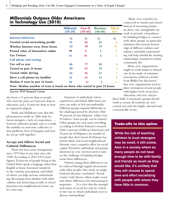#### **Millennials Outpace Older Americans in Technology Use (2010)**

|                                                                             | <b>Millenial</b><br>$(18-29)$ | $Gen-X$<br>$(30-45)$ | <b>Boomer</b><br>$(46-64)$ | <b>Silent</b><br>$65+$ |
|-----------------------------------------------------------------------------|-------------------------------|----------------------|----------------------------|------------------------|
| <b>Internet behaviors</b>                                                   | $\frac{0}{0}$                 | $\frac{0}{0}$        | $\frac{0}{0}$              | $\frac{0}{0}$          |
| Created social networking profile                                           | 75                            | 50                   | 30                         | 6                      |
| Wireless Internet away from home                                            | 62                            | 48                   | 35                         | 11                     |
| Posted video of themselves online                                           | 20                            | 6                    | $\overline{2}$             | 1                      |
| <b>Use Twitter</b>                                                          | 14                            | 10                   | 6                          |                        |
| Cell phone and texting                                                      |                               |                      |                            |                        |
| Use cell to text                                                            | 88                            | 77                   | 51                         | 9                      |
| Texted in past 24 hours                                                     | 80                            | 63                   | 35                         |                        |
| Texted while driving                                                        | 64                            | 46                   | 21                         |                        |
| Have a cell phone/no landline                                               | 41                            | 24                   | 13                         | 5                      |
| Median $#$ texts in past 24 hours                                           | 20                            | 12                   | 5                          |                        |
| Note: Median number of texts is based on those who texted in past 24 hours. |                               |                      |                            |                        |

Source: PEW Reseach Center

also been a 13 percent drop in people who trust the press, an 8 percent drop in education, and a 10 percent drop in trust in organized religion.

 Stolle and Nishikawa note that this phenomenon results in "little help between strangers, a lack of cooperation . . . between unknown people, and, as a result, the inability to overcome collective action problems. Fear of strangers and trust do not go well together."

#### **Accept and Affirm Social and Cultural Differences**

 There has been more immigration since 1970 than at any time since the 1920s. According to 2012 US Census figures, 20 percent of people living in the United States speak a language other than English at home. Increased sensitivity to the customs, perceptions, and beliefs of others can help increase understanding. Becoming more familiar with other cultures and interacting socially at school functions and neighborhood events can be a first step.

Exposure to individuals whose experiences and beliefs differ from our own can make us feel uncomfortable. Different groups respond differently to the challenges posed by diversity. Only 39 percent of non-Hispanic whites over 30 believe "most people can be trusted." Other groups are even more unwilling, according to Robert Putnam's research. Only 6 percent of African Americans and 18 percent of Hispanics are trustful of people they don't know. As Putnam has noted, ethnic and racial neighborhood diversity exert a negative effect on social capital. Therefore, individuals and groups interested in civic renewal need to take on the challenge of building bridges across these differences.

Distrust arising from differences can be reduced through regular interactions with other people. One study on neighborhood diversity concluded, "Actual contact with diverse others makes racial and ethnic differences less threatening to majorities. . . . It is clear that the strength and nature of social ties may be critical to the way in which individuals react to diverse surroundings."

 Many civic activities are connected to church and school. Instead of increasing insularity, these civic strongholds can work to provide a foundation for building bridges to connect with other groups. In particular, initiatives that increase knowledge of different cultures and enhance interfaith understanding will help rebuild the trusting relationships essential for robust community life.

 Many civic organizations ought to work harder to branch out. In his study of voluntary associations, political scientist Scott Walker has discovered that civic organizations tend to direct invitations toward people with higher levels of income, education, and civic and po-

litical skills. Community groups should work to ensure all residents are welcomed, not only the highly educated and economically secure.

#### Trade-offs to this option

**While the risk of teaching children to trust strangers may be small, it still exists. Also in a society where so many people do not have enough time to be with family and friends as much as they would like, it's unlikely that they will choose to spend time and effort socializing with people with whom they have little in common.**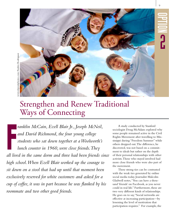

# Strengthen and Renew Traditional Ways of Connecting

F *ranklin McCain, Ezell Blair Jr., Joseph McNeil, and David Richmond, the four young college students who sat down together at a Woolworth's lunch counter in 1960, were close friends. They all lived in the same dorm and three had been friends since high school. When Ezell Blair worked up the courage to sit down on a stool that had up until that moment been exclusively reserved for white customers and asked for a cup of coffee, it was in part because he was flanked by his roommate and two other good friends.*

 A study conducted by Stanford sociologist Doug McAdam explored why some people remained active in the Civil Rights Movement after travelling to Mississippi during "Freedom Summer" while others dropped out. The difference, he discovered, was not based on a commitment to ideals but rather on the depth of their personal relationships with other activists. Those who stayed involved had more close friends who were also part of the movement.

 These strong ties can be contrasted with the weak ties generated by online social media today. Journalist Malcolm Gladwell notes, "You can have a thousand 'friends' on Facebook, as you never could in real life." Furthermore, these are two very different kinds of relationships. He goes on to say, "Social networks are effective at increasing participation—by lessening the level of motivation that participation requires." For example, the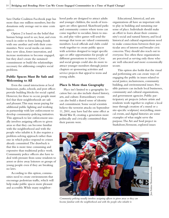Save Darfur Coalition Facebook page has more than one million members, but the donations only average out to nine cents apiece.

Option 2 is based on the belief that human beings need to see, hear, and even touch in order to form lasting bonds with one another and with their communities. New social media can introduce new ideas, foster innovation, and increase motivation to become engaged, but they don't create the sustained commitment or build the relationships necessary for addressing complex social problems.

#### **Public Spaces Must Be Safe and Welcoming to All**

Even the casual interactions at local businesses, parks, schools, and post offices provide building blocks for social capital. However, for these to occur, people must feel that their neighborhoods are safe and pleasant. This may mean paying for additional public lighting and working in partnership with law enforcement to develop community-policing initiatives. This approach to law enforcement usually involves assigning officers to given areas so that they can become familiar with the neighborhood and with the people who inhabit it. It also requires a problem-solving approach rather than one in which police respond to crimes already committed. The drawback is that this is more time consuming and expensive than traditional police work. Community police officers also have to deal with pressure from some residents to arrest or drive away loiterers or groups of young people even if they are breaking no laws.

 According to this option, communities need to create environments that encourage pedestrian traffic, which will help make public spaces more pleasant and accessible. While many neighborhood parks are designed to attract adults and younger children, the needs of teenagers are often ignored. Skateboard parks and community centers where teens can come together to socialize, listen to music, and play video games will send the message that teens are valued community members. Local officials and clubs could work together to create public spaces with activities designed to target specific ages or offer opportunities for people of different generations to interact. Civic and social groups could also do more to attract younger members through junior chapters or sponsoring activities and service projects that appeal to teens and young adults.

#### **Place Is More than Geography**

 Place isn't limited to a geographic location but can also include shared history, arts, and culture. Extraordinary events can also build a shared sense of identity and commitment. Some social scientists believe the terrorist attacks on September 11, 2001, may have had the same effect as World War II, creating a generation more politically and civically committed than their parents were.

 Educational, historical, and arts organizations all have an important role to play in building and sustaining our sense of place. Individuals should make an effort to learn about their community's social and natural history, and local historical and cultural organizations need to make connections between their particular area of interest and broader civic concerns. They should also reach out to everyone. Too often these organizations are perceived as serving only those who are well educated and more economically secure.

This option also holds that the visual and performing arts can create ways of engaging the public in issues related to social justice, inclusiveness, community building, and environmental issues. Possible partners can include local businesses, community and cultural organizations, and government agencies. Public participatory art projects (where artists and residents work together to explore a local issue through creation of a mural or a site-specific sculpture) storytelling, musical events, and digital histories are some examples of what might serve the purpose. The Art and Soul project in Starksboro, Vermont, explored issues



*Community policing usually involves assigning officers to given areas so they can become familiar with the neighborhood and with the people who inhabit it.*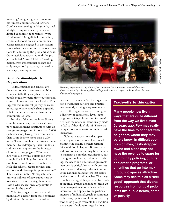involving "integrating newcomers and old-timers, commuters and farmers." Conflicts concerning rapid growth, rural lifestyle, rising real-estate prices, and limited economic opportunities were all addressed. Using digital storytelling, artistic collaboration, and community events, residents engaged in discussions about what they value and developed actions for addressing the problems at hand. Other activities associated with the project included "Slow, Children" road sign design, cross-generational collage and sculpture, school programs, and weekly landscape painting sessions.

#### **Build Relationship-Rich Organizations**

 Today, churches and schools are the most popular volunteer sites. Not coincidentally, they are places where people regularly spend time together and come to know and trust each other. This suggests that relationships may be richer in settings where people share a specific belief or common interest than in the community-at-large.

In spite of the decline in traditional church membership, the *Economist* reports megachurches (institutions with an average congregation of more than 2,000 each weekend) have grown from fewer than 10 in 1960 to more than 1,200 today. These churches have attracted new members by redesigning their buildings and services to appeal to the interests of potential congregants. "Out went 200-year-old hymns, pulpits and even church-like buildings. In came information booths, food courts, churches that look like schools, reggae services and sermons with Powerpoint presentations." The *Economist* notes, "If megachurches can win millions of new supporters by lowering barriers to entry, there is no reason why secular civic organizations cannot do the same."

 Voluntary organizations and clubs might learn a lesson from these churches by thinking about how to appeal to



*Voluntary organizations might learn from megachurches, which have attracted thousands of new members by redesigning their buldings and services to appeal to the particular interests of potential congregants.*

prospective members. Are the organization's traditional customs and practices inadvertently driving away new members? Is the organization welcoming to a diversity of educational levels, ages, religious beliefs, cultures, and incomes? Are new members unintentionally made to feel as if they don't fit in? These are the questions organizations ought to ask themselves.

 Voluntary associations that operate at regional or national levels need to examine the quality of their relationships with local chapters. Bureaucracy and professionalization may be necessary to maintain a complex organization, but staying in touch with, and understanding, the needs and interests of grassroots members is critical. Just as with businesses, it is easy to develop a distinct culture at the national headquarters that results in alienation at local branches. The megachurches managed this problem by developing small groups designed to break up the congregation, ensure face-to-face interaction, and appeal to the particular interests of individuals, such as computer enthusiasts, cyclists, and knitters. In many ways these groups resemble the traditional chapters of voluntary organizations.

#### Trade-offs to this option

**Many people now live in ways that are quite different from the way we lived even 5o years ago. Few may really have the time to connect with neighbors whom they may barely know. In difficult economic times, cash-strapped towns and cities may not have the revenue to spare for community policing, cultural and artistic programs, or amenities that go into making public spaces attractive. Some may see this as a "feel good" approach that diverts resources from critical problems like public health, crime, or poverty.**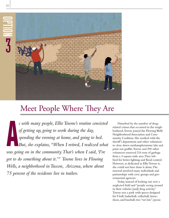12



# Meet People Where They Are

A *s with many people, Ellie Towne's routine consisted of getting up, going to work during the day, spending the evening at home, and going to bed. But, she explains, "When I retired, I realized what was going on in the community. That's when I said, 'I've got to do something about it.'" Towne lives in Flowing Wells, a neighborhood in Tuscon, Arizona, where about 75 percent of the residents live in trailers.* 

Disturbed by the number of drugrelated crimes that occurred in the neighborhood, Towne joined the Flowing Wells Neighborhood Association and Community Coalition. She worked with the sheriff's department and other volunteers to close down methamphetamine labs and paint out graffiti. Towne and 290 other volunteers removed 216 tons of garbage from a 3-square-mile area. They lobbied for better lighting and flood control. However, as dedicated as Ellie Towne is, she could not have done it alone. The renewal involved many individuals and partnerships with civic groups and governmental agencies.

 Today, instead of looking out over a neglected field and "people racing around in their vehicles [and] drug activity," Towne sees a park with spaces designed for T-ball, basketball, volleyball, horseshoes, and baseball; two "tot lots"; picnic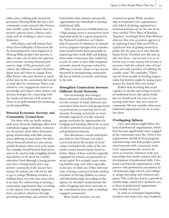tables; and a walking path around the perimeter. Flowing Wells also has a new community center (named after Towne) and a health center. Residents have attracted a grocery store, a library, and a bank, and are working to attract more businesses.

Self-reliance and self-interest have always been hallmarks of American life. As demonstrated by what happened in Flowing Wells, people's first priority is often to take care of their own physical and economic security. Personal preferences, stage of life, generation, and culture also influence people's decisions about how and when to engage. Even Ellie Towne, who now devotes so much of her time to the community, did not do so until after her retirement. Those committed to civic engagement need to acknowledge and respect other choices and develop strategies for connecting with the needs and interests of all residents. There is no gold standard for measuring social responsibility.

#### **Personal Economic Security and Community Connections**

 For those who are barely making ends meet, financial challenges affect how individuals engage with their communities. Economic status often determines group membership, with little mixing across differing income strata. For those whose financial situation is precarious, painful decisions often need to be made. For example, should limited financial resources be used to help struggling friends and relatives or be saved for a child's education? And although a young person may have a loving family and a supportive community, if she doesn't have money for tuition, she will not be able to go to college. Working overtime or holding down two jobs may mean there is no time for volunteering or joining a community organization. But, according to this option, civic-minded organizations can attract volunteers through providing internships and activities that

both further their mission and provide opportunities for individuals to develop professional skills.

 Sixty-two percent of Millennials say a high-paying career is among their most important goals. In a report prepared by the National Conference on Citizenship, 59 percent of volunteers in national service programs thought their contributions would benefit them personally by improving their work skills and helping them make connections that could lead to jobs. In order to have fully integrated networks, instead of groups isolated by differing economic classes or age, anyone interested in strengthening community life has to include economic well-being in the mix.

#### **Strengthen Connections between Different Social Networks**

Our increasingly time-hungry, fitness-oriented, and mobile society fosters the creation of small, informal, and sometimes short-lived social groups based on professional, recreational, and social interests. Focusing exclusively on more formally organized, civically oriented groups overlooks the opportunities for bridging and bonding offered by an array of other networks focused on personal and professional interests.

 Ann Brookman, a social anthropologist, believes that Putnam and others concerned about the decline of social capital overlooked the value of the networks created around family-based activities. Many of these activities, typically organized by women, are generators of social capital. For example, many working families help each other, especially in the area of child care. Other informal ways of being connected include rotating schedules of driving children to school and babysitting rings. According to this option, we shouldn't underestimate the value of tapping into these networks or the contributions they make to building engaged communities.

Many family activities are now

centered on sports. While membership in traditional civic organizations and clubs is declining, organized recreational activities are on the rise. In an essay entitled "New Ways of Bowling Together," sociologist Peter Hart-Brinson observes that civic recreation appears to be replacing Lions Clubs and PTAs as a preferred way of getting involved in public life. He goes on to note that the fitness boom "breathed new life into an old civic form—not because it is an efficient way to raise money, but because it resonates with the cultural value of hard labor and with narratives of suffering for a noble cause." He concludes, "There may be fewer people in bowling leagues today, but bowlers might be raising more money for charity than ever before."

 Rather than declaring that social capital is in decline and trying to restore its traditional forms, this option holds that we should seek out ways of connecting with these vital, new areas of community life and consider what more traditonal organizations can do to emulate them.

#### **Overlapping Spheres**

 Civic associations might follow the lead of professional organizations, which have become significantly more engaged in the community since the 1960s. Civic organizations should develop programs and internships that link people's professional interests with community work. Civic organizations also need to do more to structure volunteer work and internships that clearly connect with the development of professional skills. Civic, social, and fraternal organizations could partner with professional associations, local businesses, high schools, and colleges to design internship and volunteer programs. This could also lead to a growth in memberships, which have declined even as those in professional organizations have steadily increased.

In order to reenergize longstanding members and attract new ones, tradition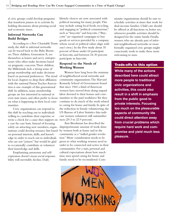al civic groups could develop programs that transform joiners in to activists by holding discussions about pressing social and economic issues.

#### **Informal Networks Can Build Bridges**

According to a Pew Charitable Trusts study, the shift to informal networks can be traced back to the Baby Boomers. Their children, Generation X, see themselves as loners and savvy entrepreneurs who often make decisions based on pragmatic concerns. Their children, the Millennials, lack a strong sense of group membership and make decisions based on personal preferences. The trend for local chapters to drop their affiliation with the national Parent Teacher Association is one example of this generational shift. In addition, many membership groups are less interested in national or even state issues, and often prefer to focus munities to the paid workforce. Yet they on what is happening in their local communities.

 Civic organizations can respond to this shift by reaching out to individuals willing to contribute their expertise or write a check for a cause they support on men (29.3 to 22.9 percent). a case-by-case basis. Instead of focusing solely on attracting new members, organizations could develop resource lists based by women both at home and in the on personal interests, skills, and knowledge in order to reach out to individuals who are not "joiners" but would be glad to occasionally contribute or volunteer their knowledge and skills.

 Emphasizing autonomy and selfexpression doesn't mean social responsibility will inevitably decline. Daily

lifestyle choices are now associated with political meaning for many people. This may include eating local foods, recycling, and engaging in "political consumerism," such as "buycotts" and boycotts. ("Buycotts" are organized campaigns to buy goods or services provided by a company whose social or political values align with one's own.) In the Pew study about 35 percent of those under 65 participate in boycotts, and between 24-30 percent participate in buycotts.

#### **Respond to the Needs of Working Women**

 Women have long been the mainstay of neighborhood social networks and community organizations. The Harvard Kennedy School of Government found that since 1960 a third of American women have moved from doing unpaid labor devoted to their homes and comcontinue to do much of the work related to caring for home and family. In spite of the reduction in female volunteering, the US Bureau of Labor Statistics data indicate women volunteers still outnumber

 Ann Brookman has described the disproportionate amount of work done community as a "stalled gender revolution." More consideration needs to be given to what working women need in order to be connected and active in their communities. For a start, personal and cultural expectations about how much time men spend caring for home and family needs to be reconsidered. Community organizations should be sure to schedule activities at times that work for dual-income families. Child care should be offered at all functions or, better yet, whenever possible activities should be designed for the entire family. Finally, women who are already part of informal neighborhood networks or more formally organized civic groups might consciously work to make these more welcoming to men.

#### Trade-offs to this option

 **activities, this could also While many of the actions described here could attract more people to traditional civic organizations and result in a shift in emphasis from the public good to private interests. Focusing too much on the pleasurable aspects of community life could direct attention away from crucial problems which require hard work and compromise and yield much less pleasure.**

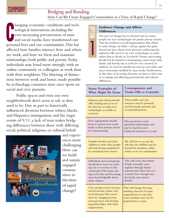### SUMMHI

#### Bridging and Bonding

How Can We Create Engaged Communities in a Time of Rapid Change?

OPTION

1

**U** hanging economic conditions and technological innovations, including the ever-increasing pervasiveness of mass and social media, have transformed our personal lives and our communities. This has affected how families interact, how and where we work, and how we form and maintain relationships, both public and private. Today individuals may bond more strongly with an online community or colleagues at work than with their neighbors. The blurring of distinctions between work and home, made possible by technology, consumes time once spent on social and civic pursuits.

Public spaces and even our own neighborhoods don't seem as safe as they used to be. Due in part to historically influenced divisions between whites, blacks, and Hispanics; immigration; and the tragic events of 9/11, a lack of trust makes bridging differences between those with differing social, political, religious, or cultural beliefs



and experiences more challenging. How can we build and sustain engaged communities in this time of rapid change?

#### **Embrace Change and Affirm Differences**

The pace of change has accelerated and too many people use new technologies for purely private reasons. This has resulted in social fragmentation. But efforts to resist change are futile—and go against the grain. Americans have always been pioneers, embracing the unknown. We need to use new technologies to unite rather than to divide us. Facebook, Twitter, and texting should not be limited to maintaining connections with family and friends, but as tools for civic renewal. In addition we need to rebuild our trust in each other and reject stereotypes instilled by mass media. Furthermore, in this time of increasing diversity, we have to find ways of accepting and affirming generational and cultural differences.

| <b>Some Examples of</b>                                                                                                                                                                                   | <b>Consequences and</b>                                                                                                                    |  |
|-----------------------------------------------------------------------------------------------------------------------------------------------------------------------------------------------------------|--------------------------------------------------------------------------------------------------------------------------------------------|--|
| <b>What Might Be Done</b>                                                                                                                                                                                 | <b>Trade-Offs to Consider</b>                                                                                                              |  |
| Libraries and schools, should<br>offer training and access to<br>the Internet, to make new<br>technologies accessible to<br>everyone.                                                                     | These public and civic<br>resources may be primarily<br>used for purely personal and<br>recreational pursuits.                             |  |
| Civic organizations should                                                                                                                                                                                | This may lead to more                                                                                                                      |  |
| invest in and use new social                                                                                                                                                                              | superficial relationships and                                                                                                              |  |
| media as their primary means                                                                                                                                                                              | may be hard for more                                                                                                                       |  |
| of communicating.                                                                                                                                                                                         | traditional members to accept.                                                                                                             |  |
| Families should teach their                                                                                                                                                                               | We will have to accept the                                                                                                                 |  |
| children to trust other people                                                                                                                                                                            | risk that our children may be                                                                                                              |  |
| and resist being manipulated                                                                                                                                                                              | harmed by predators, either                                                                                                                |  |
| by sensational news stories.                                                                                                                                                                              | online or in our communities.                                                                                                              |  |
| Individuals and social groups                                                                                                                                                                             | This will create discomfort.                                                                                                               |  |
| should focus more on reach-                                                                                                                                                                               | People normally come                                                                                                                       |  |
| ing out to everyone in the                                                                                                                                                                                | together through shared                                                                                                                    |  |
| community. This means tak-                                                                                                                                                                                | interests and values and, as it                                                                                                            |  |
| ing social risks and becoming                                                                                                                                                                             | is, barely have enough time                                                                                                                |  |
| more knowledgeable about                                                                                                                                                                                  | for family and current                                                                                                                     |  |
| other cultures.                                                                                                                                                                                           | friends.                                                                                                                                   |  |
| Civic groups need to increase<br>socioeconomic, ethnic, and<br>racial diversity. This can be<br>done by changing recruit-<br>ment practices and develop-<br>ing partnerships with other<br>organizations. | This will change the long-<br>standing character of many<br>organizations in ways that<br>some members may not be<br>prepared for or want. |  |